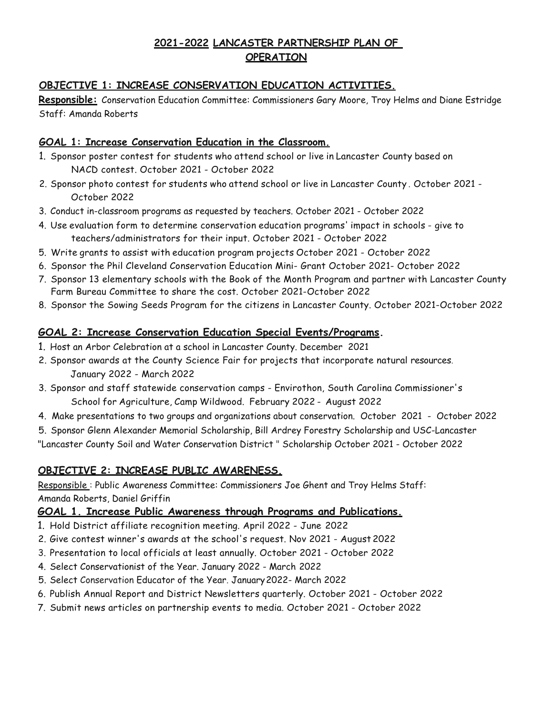# **2021-2022 LANCASTER PARTNERSHIP PLAN OF OPERATION**

## **OBJECTIVE 1: INCREASE CONSERVATION EDUCATION ACTIVITIES.**

**Responsible:** Conservation Education Committee: Commissioners Gary Moore, Troy Helms and Diane Estridge Staff: Amanda Roberts

#### **GOAL 1: Increase Conservation Education in the Classroom.**

- 1. Sponsor poster contest for students who attend school or live in Lancaster County based on NACD contest. October 2021 - October 2022
- 2. Sponsor photo contest for students who attend school or live in Lancaster County . October 2021 October 2022
- 3. Conduct in-classroom programs as requested by teachers. October 2021 October 2022
- 4. Use evaluation form to determine conservation education programs' impact in schools give to teachers/administrators for their input. October 2021 - October 2022
- 5. Write grants to assist with education program projects October 2021 October 2022
- 6. Sponsor the Phil Cleveland Conservation Education Mini- Grant October 2021- October 2022
- 7. Sponsor 13 elementary schools with the Book of the Month Program and partner with Lancaster County Farm Bureau Committee to share the cost. October 2021-October 2022
- 8. Sponsor the Sowing Seeds Program for the citizens in Lancaster County. October 2021-October 2022

### **GOAL 2: Increase Conservation Education Special Events/Programs.**

- 1. Host an Arbor Celebration at a school in Lancaster County. December 2021
- 2. Sponsor awards at the County Science Fair for projects that incorporate natural resources. January 2022 - March 2022
- 3. Sponsor and staff statewide conservation camps Envirothon, South Carolina Commissioner's School for Agriculture, Camp Wildwood. February 2022 - August 2022
- 4. Make presentations to two groups and organizations about conservation. October 2021 October 2022

5. Sponsor Glenn Alexander Memorial Scholarship, Bill Ardrey Forestry Scholarship and USC-Lancaster

"Lancaster County Soil and Water Conservation District " Scholarship October 2021 - October 2022

### **OBJECTIVE 2: INCREASE PUBLIC AWARENESS.**

Responsible: Public Awareness Committee: Commissioners Joe Ghent and Troy Helms Staff: Amanda Roberts, Daniel Griffin

### **GOAL 1. Increase Public Awareness through Programs and Publications.**

- 1. Hold District affiliate recognition meeting. April 2022 June 2022
- 2. Give contest winner's awards at the school's request. Nov 2021 August 2022
- 3. Presentation to local officials at least annually. October 2021 October 2022
- 4. Select Conservationist of the Year. January 2022 March 2022
- 5. Select Conservation Educator of the Year. January2022- March 2022
- 6. Publish Annual Report and District Newsletters quarterly. October 2021 October 2022
- 7. Submit news articles on partnership events to media. October 2021 October 2022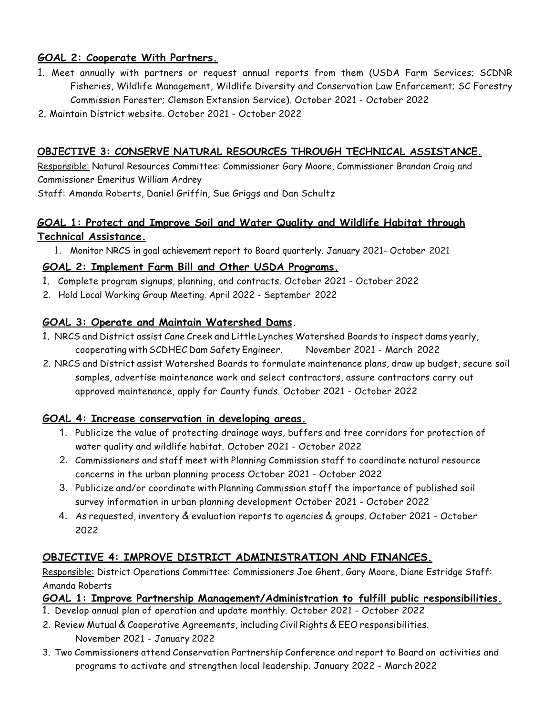## **GOAL 2: Cooperate With Partners.**

- 1. Meet annually with partners or request annual reports from them (USDA Farm Services; SCDNR Fisheries, Wildlife Management, Wildlife Diversity and Conservation Law Enforcement; SC Forestry Commission Forester; Clemson Extension Service). October 2021 - October 2022
- 2. Maintain District website. October 2021 October 2022

### **OBJECTIVE 3: CONSERVE NATURAL RESOURCES THROUGH TECHNICAL ASSISTANCE.**

Responsible: Natural Resources Committee: Commissioner Gary Moore, Commissioner Brandan Craig and Commissioner Emeritus William Ardrey

Staff: Amanda Roberts, Daniel Griffin, Sue Griggs and Dan Schultz

# **GOAL 1: Protect and Improve Soil and Water Quality and Wildlife Habitat through Technical Assistance.**

1. Monitor NRCS in goal achievement report to Board quarterly. January 2021- October 2021

### **GOAL 2: Implement Farm Bill and Other USDA Programs.**

- 1. Complete program signups, planning, and contracts. October 2021 October 2022
- 2. Hold Local Working Group Meeting. April 2022 September 2022

### **GOAL 3: Operate and Maintain Watershed Dams.**

- 1. NRCS and District assist Cane Creek and Little Lynches Watershed Boards to inspect dams yearly, cooperating withSCDHEC Dam Safety Engineer. November 2021 - March 2022
- 2. NRCS and District assist Watershed Boards to formulate maintenance plans, draw up budget, secure soil samples, advertise maintenance work and select contractors, assure contractors carry out approved maintenance, apply for County funds. October 2021 - October 2022

### **GOAL 4: Increase conservation in developing areas.**

- 1. Publicize the value of protecting drainage ways, buffers and tree corridors for protection of water quality and wildlife habitat. October 2021 - October 2022
- 2. Commissioners and staff meet with Planning Commission staff to coordinate natural resource concerns in the urban planning process October 2021 - October 2022
- 3. Publicize and/or coordinate with Planning Commission staff the importance of published soil survey information in urban planning development October 2021 - October 2022
- 4. As requested, inventory & evaluation reports to agencies & groups. October 2021 October 2022

# **OBJECTIVE 4: IMPROVE DISTRICT ADMINISTRATION AND FINANCES.**

Responsible: District Operations Committee: Commissioners Joe Ghent, Gary Moore, Diane Estridge Staff: Amanda Roberts

### **GOAL 1: Improve Partnership Management/Administration to fulfill public responsibilities.**

- 1. Develop annual plan of operation and update monthly. October 2021 October 2022
- 2. Review Mutual & Cooperative Agreements, including Civil Rights & EEO responsibilities.
	- November 2021 January 2022
- 3. Two Commissioners attend Conservation Partnership Conference and report to Board on activities and programs to activate and strengthen local leadership. January 2022 - March 2022